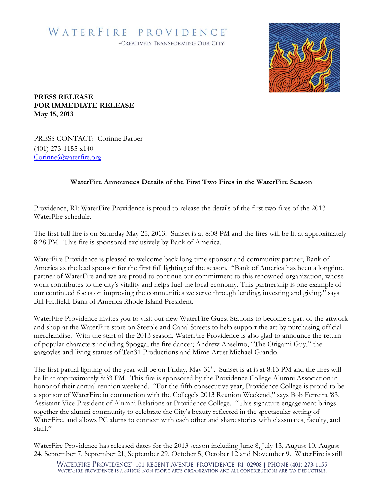## WATERFIRE PROVIDENCE® -CREATIVELY TRANSFORMING OUR CITY



**PRESS RELEASE FOR IMMEDIATE RELEASE May 15, 2013**

PRESS CONTACT: Corinne Barber (401) 273-1155 x140 [Corinne@waterfire.org](mailto:Bronwyn@waterfire.org)

## **WaterFire Announces Details of the First Two Fires in the WaterFire Season**

Providence, RI: WaterFire Providence is proud to release the details of the first two fires of the 2013 WaterFire schedule.

The first full fire is on Saturday May 25, 2013. Sunset is at 8:08 PM and the fires will be lit at approximately 8:28 PM. This fire is sponsored exclusively by Bank of America.

WaterFire Providence is pleased to welcome back long time sponsor and community partner, Bank of America as the lead sponsor for the first full lighting of the season. "Bank of America has been a longtime partner of WaterFire and we are proud to continue our commitment to this renowned organization, whose work contributes to the city's vitality and helps fuel the local economy. This partnership is one example of our continued focus on improving the communities we serve through lending, investing and giving," says Bill Hatfield, Bank of America Rhode Island President.

WaterFire Providence invites you to visit our new WaterFire Guest Stations to become a part of the artwork and shop at the WaterFire store on Steeple and Canal Streets to help support the art by purchasing official merchandise. With the start of the 2013 season, WaterFire Providence is also glad to announce the return of popular characters including Spogga, the fire dancer; Andrew Anselmo, "The Origami Guy," the gargoyles and living statues of Ten31 Productions and Mime Artist Michael Grando.

The first partial lighting of the year will be on Friday, May 31<sup>st</sup>. Sunset is at is at 8:13 PM and the fires will be lit at approximately 8:33 PM. This fire is sponsored by the Providence College Alumni Association in honor of their annual reunion weekend. "For the fifth consecutive year, Providence College is proud to be a sponsor of WaterFire in conjunction with the College's 2013 Reunion Weekend," says Bob Ferreira '83, Assistant Vice President of Alumni Relations at Providence College. "This signature engagement brings together the alumni community to celebrate the City's beauty reflected in the spectacular setting of WaterFire, and allows PC alums to connect with each other and share stories with classmates, faculty, and staff."

WaterFire Providence has released dates for the 2013 season including June 8, July 13, August 10, August 24, September 7, September 21, September 29, October 5, October 12 and November 9. WaterFire is still